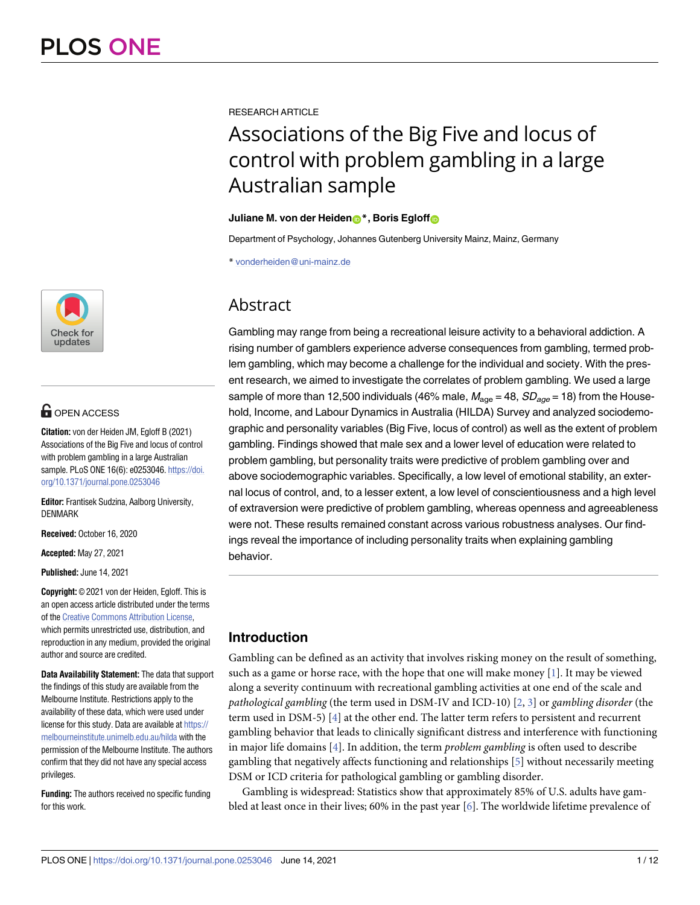

# **OPEN ACCESS**

**Citation:** von der Heiden JM, Egloff B (2021) Associations of the Big Five and locus of control with problem gambling in a large Australian sample. PLoS ONE 16(6): e0253046. [https://doi.](https://doi.org/10.1371/journal.pone.0253046) [org/10.1371/journal.pone.0253046](https://doi.org/10.1371/journal.pone.0253046)

**Editor:** Frantisek Sudzina, Aalborg University, DENMARK

**Received:** October 16, 2020

**Accepted:** May 27, 2021

**Published:** June 14, 2021

**Copyright:** © 2021 von der Heiden, Egloff. This is an open access article distributed under the terms of the Creative [Commons](http://creativecommons.org/licenses/by/4.0/) Attribution License, which permits unrestricted use, distribution, and reproduction in any medium, provided the original author and source are credited.

**Data Availability Statement:** The data that support the findings of this study are available from the Melbourne Institute. Restrictions apply to the availability of these data, which were used under license for this study. Data are available at [https://](https://melbourneinstitute.unimelb.edu.au/hilda) [melbourneinstitute.unimelb.edu.au/hilda](https://melbourneinstitute.unimelb.edu.au/hilda) with the permission of the Melbourne Institute. The authors confirm that they did not have any special access privileges.

**Funding:** The authors received no specific funding for this work.

<span id="page-0-0"></span>RESEARCH ARTICLE

# Associations of the Big Five and locus of control with problem gambling in a large Australian sample

# **Juliane M. von der Heiden**<sup>\*</sup>, Boris Egloff

Department of Psychology, Johannes Gutenberg University Mainz, Mainz, Germany

\* vonderheiden@uni-mainz.de

# Abstract

Gambling may range from being a recreational leisure activity to a behavioral addiction. A rising number of gamblers experience adverse consequences from gambling, termed problem gambling, which may become a challenge for the individual and society. With the present research, we aimed to investigate the correlates of problem gambling. We used a large sample of more than 12,500 individuals (46% male,  $M_{\text{ace}} = 48$ ,  $SD_{\text{ace}} = 18$ ) from the Household, Income, and Labour Dynamics in Australia (HILDA) Survey and analyzed sociodemographic and personality variables (Big Five, locus of control) as well as the extent of problem gambling. Findings showed that male sex and a lower level of education were related to problem gambling, but personality traits were predictive of problem gambling over and above sociodemographic variables. Specifically, a low level of emotional stability, an external locus of control, and, to a lesser extent, a low level of conscientiousness and a high level of extraversion were predictive of problem gambling, whereas openness and agreeableness were not. These results remained constant across various robustness analyses. Our findings reveal the importance of including personality traits when explaining gambling behavior.

# **Introduction**

Gambling can be defined as an activity that involves risking money on the result of something, such as a game or horse race, with the hope that one will make money  $[1]$ . It may be viewed along a severity continuum with recreational gambling activities at one end of the scale and *pathological gambling* (the term used in DSM-IV and ICD-10) [\[2](#page-8-0), [3](#page-8-0)] or *gambling disorder* (the term used in DSM-5) [[4](#page-8-0)] at the other end. The latter term refers to persistent and recurrent gambling behavior that leads to clinically significant distress and interference with functioning in major life domains [\[4\]](#page-8-0). In addition, the term *problem gambling* is often used to describe gambling that negatively affects functioning and relationships [[5](#page-8-0)] without necessarily meeting DSM or ICD criteria for pathological gambling or gambling disorder.

Gambling is widespread: Statistics show that approximately 85% of U.S. adults have gambled at least once in their lives; 60% in the past year [\[6](#page-8-0)]. The worldwide lifetime prevalence of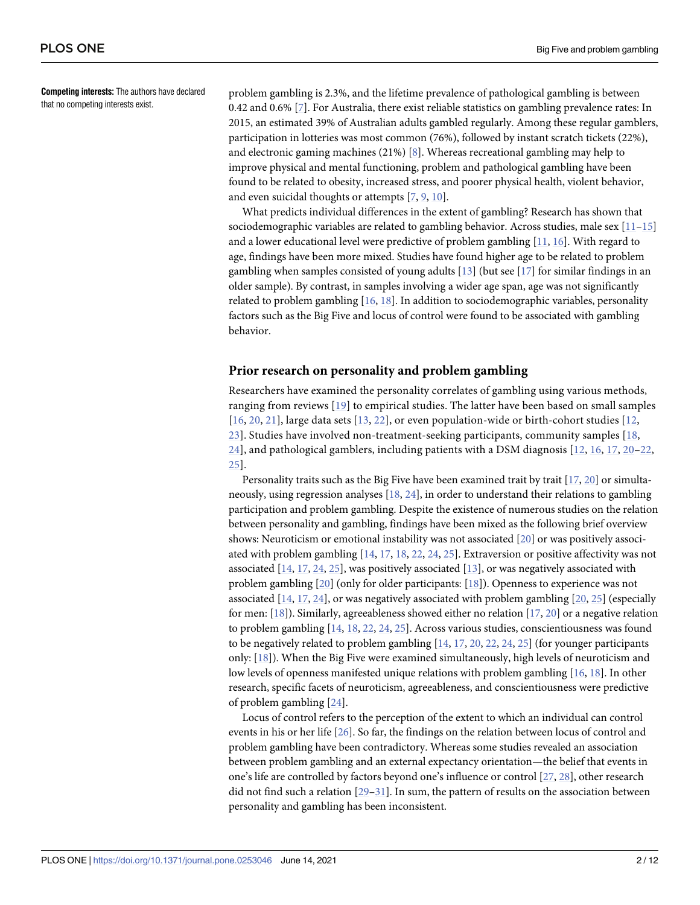<span id="page-1-0"></span>**Competing interests:** The authors have declared that no competing interests exist.

problem gambling is 2.3%, and the lifetime prevalence of pathological gambling is between 0.42 and 0.6% [[7\]](#page-8-0). For Australia, there exist reliable statistics on gambling prevalence rates: In 2015, an estimated 39% of Australian adults gambled regularly. Among these regular gamblers, participation in lotteries was most common (76%), followed by instant scratch tickets (22%), and electronic gaming machines (21%) [[8](#page-8-0)]. Whereas recreational gambling may help to improve physical and mental functioning, problem and pathological gambling have been found to be related to obesity, increased stress, and poorer physical health, violent behavior, and even suicidal thoughts or attempts [\[7,](#page-8-0) [9](#page-8-0), [10](#page-9-0)].

What predicts individual differences in the extent of gambling? Research has shown that sociodemographic variables are related to gambling behavior. Across studies, male sex  $[11-15]$ and a lower educational level were predictive of problem gambling [[11](#page-9-0), [16](#page-9-0)]. With regard to age, findings have been more mixed. Studies have found higher age to be related to problem gambling when samples consisted of young adults  $[13]$  $[13]$  $[13]$  (but see  $[17]$  $[17]$  $[17]$  for similar findings in an older sample). By contrast, in samples involving a wider age span, age was not significantly related to problem gambling [[16](#page-9-0), [18](#page-9-0)]. In addition to sociodemographic variables, personality factors such as the Big Five and locus of control were found to be associated with gambling behavior.

## **Prior research on personality and problem gambling**

Researchers have examined the personality correlates of gambling using various methods, ranging from reviews [\[19](#page-9-0)] to empirical studies. The latter have been based on small samples [[16](#page-9-0), [20,](#page-9-0) [21](#page-9-0)], large data sets [[13,](#page-9-0) [22](#page-9-0)], or even population-wide or birth-cohort studies [\[12](#page-9-0), [23\]](#page-9-0). Studies have involved non-treatment-seeking participants, community samples [[18,](#page-9-0) [24\]](#page-9-0), and pathological gamblers, including patients with a DSM diagnosis [[12,](#page-9-0) [16](#page-9-0), [17,](#page-9-0) [20–22](#page-9-0), [25\]](#page-9-0).

Personality traits such as the Big Five have been examined trait by trait  $[17, 20]$  $[17, 20]$  $[17, 20]$  or simultaneously, using regression analyses [\[18,](#page-9-0) [24\]](#page-9-0), in order to understand their relations to gambling participation and problem gambling. Despite the existence of numerous studies on the relation between personality and gambling, findings have been mixed as the following brief overview shows: Neuroticism or emotional instability was not associated [\[20\]](#page-9-0) or was positively associated with problem gambling [\[14,](#page-9-0) [17,](#page-9-0) [18,](#page-9-0) [22,](#page-9-0) [24,](#page-9-0) [25\]](#page-9-0). Extraversion or positive affectivity was not associated [\[14](#page-9-0), [17](#page-9-0), [24](#page-9-0), [25](#page-9-0)], was positively associated [\[13\]](#page-9-0), or was negatively associated with problem gambling [\[20\]](#page-9-0) (only for older participants: [[18](#page-9-0)]). Openness to experience was not associated [\[14](#page-9-0), [17](#page-9-0), [24](#page-9-0)], or was negatively associated with problem gambling [\[20,](#page-9-0) [25\]](#page-9-0) (especially for men: [\[18\]](#page-9-0)). Similarly, agreeableness showed either no relation [\[17,](#page-9-0) [20\]](#page-9-0) or a negative relation to problem gambling [\[14,](#page-9-0) [18,](#page-9-0) [22,](#page-9-0) [24,](#page-9-0) [25\]](#page-9-0). Across various studies, conscientiousness was found to be negatively related to problem gambling [\[14,](#page-9-0) [17,](#page-9-0) [20](#page-9-0), [22](#page-9-0), [24](#page-9-0), [25](#page-9-0)] (for younger participants only: [\[18\]](#page-9-0)). When the Big Five were examined simultaneously, high levels of neuroticism and low levels of openness manifested unique relations with problem gambling [[16](#page-9-0), [18](#page-9-0)]. In other research, specific facets of neuroticism, agreeableness, and conscientiousness were predictive of problem gambling [\[24\]](#page-9-0).

Locus of control refers to the perception of the extent to which an individual can control events in his or her life [[26](#page-9-0)]. So far, the findings on the relation between locus of control and problem gambling have been contradictory. Whereas some studies revealed an association between problem gambling and an external expectancy orientation—the belief that events in one's life are controlled by factors beyond one's influence or control [\[27,](#page-9-0) [28\]](#page-9-0), other research did not find such a relation  $[29-31]$ . In sum, the pattern of results on the association between personality and gambling has been inconsistent.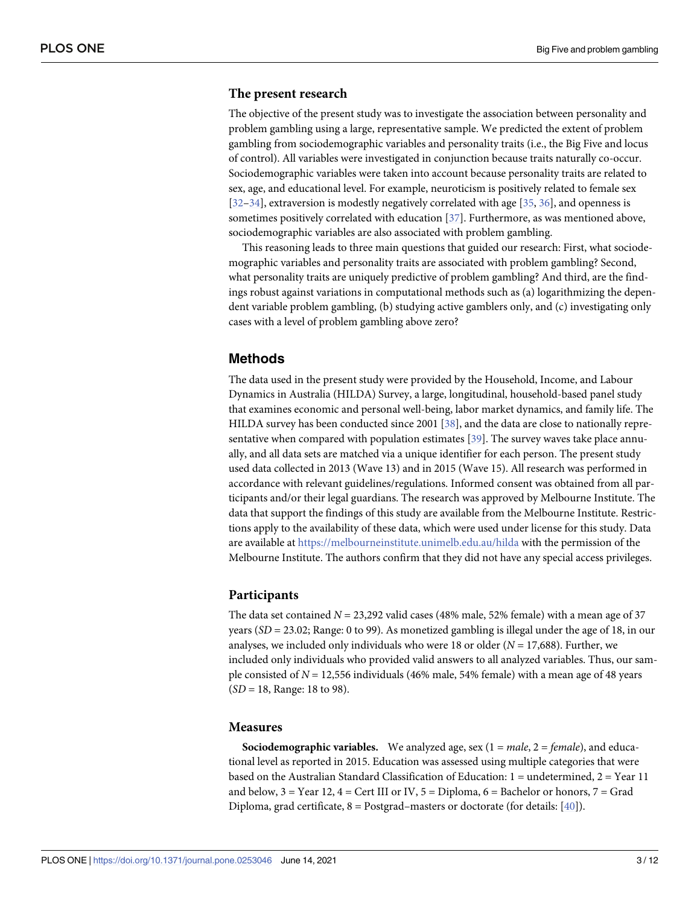## <span id="page-2-0"></span>**The present research**

The objective of the present study was to investigate the association between personality and problem gambling using a large, representative sample. We predicted the extent of problem gambling from sociodemographic variables and personality traits (i.e., the Big Five and locus of control). All variables were investigated in conjunction because traits naturally co-occur. Sociodemographic variables were taken into account because personality traits are related to sex, age, and educational level. For example, neuroticism is positively related to female sex [\[32–34\]](#page-10-0), extraversion is modestly negatively correlated with age [[35](#page-10-0), [36](#page-10-0)], and openness is sometimes positively correlated with education [[37](#page-10-0)]. Furthermore, as was mentioned above, sociodemographic variables are also associated with problem gambling.

This reasoning leads to three main questions that guided our research: First, what sociodemographic variables and personality traits are associated with problem gambling? Second, what personality traits are uniquely predictive of problem gambling? And third, are the findings robust against variations in computational methods such as (a) logarithmizing the dependent variable problem gambling, (b) studying active gamblers only, and (c) investigating only cases with a level of problem gambling above zero?

# **Methods**

The data used in the present study were provided by the Household, Income, and Labour Dynamics in Australia (HILDA) Survey, a large, longitudinal, household-based panel study that examines economic and personal well-being, labor market dynamics, and family life. The HILDA survey has been conducted since 2001 [[38](#page-10-0)], and the data are close to nationally representative when compared with population estimates [\[39\]](#page-10-0). The survey waves take place annually, and all data sets are matched via a unique identifier for each person. The present study used data collected in 2013 (Wave 13) and in 2015 (Wave 15). All research was performed in accordance with relevant guidelines/regulations. Informed consent was obtained from all participants and/or their legal guardians. The research was approved by Melbourne Institute. The data that support the findings of this study are available from the Melbourne Institute. Restrictions apply to the availability of these data, which were used under license for this study. Data are available at <https://melbourneinstitute.unimelb.edu.au/hilda> with the permission of the Melbourne Institute. The authors confirm that they did not have any special access privileges.

#### **Participants**

The data set contained  $N = 23,292$  valid cases (48% male, 52% female) with a mean age of 37 years (*SD* = 23.02; Range: 0 to 99). As monetized gambling is illegal under the age of 18, in our analyses, we included only individuals who were 18 or older (*N* = 17,688). Further, we included only individuals who provided valid answers to all analyzed variables. Thus, our sample consisted of *N* = 12,556 individuals (46% male, 54% female) with a mean age of 48 years (*SD* = 18, Range: 18 to 98).

#### **Measures**

**Sociodemographic variables.** We analyzed age, sex (1 = *male*, 2 = *female*), and educational level as reported in 2015. Education was assessed using multiple categories that were based on the Australian Standard Classification of Education: 1 = undetermined, 2 = Year 11 and below,  $3 =$  Year 12,  $4 =$  Cert III or IV,  $5 =$  Diploma,  $6 =$  Bachelor or honors,  $7 =$  Grad Diploma, grad certificate,  $8 =$  Postgrad–masters or doctorate (for details: [[40](#page-10-0)]).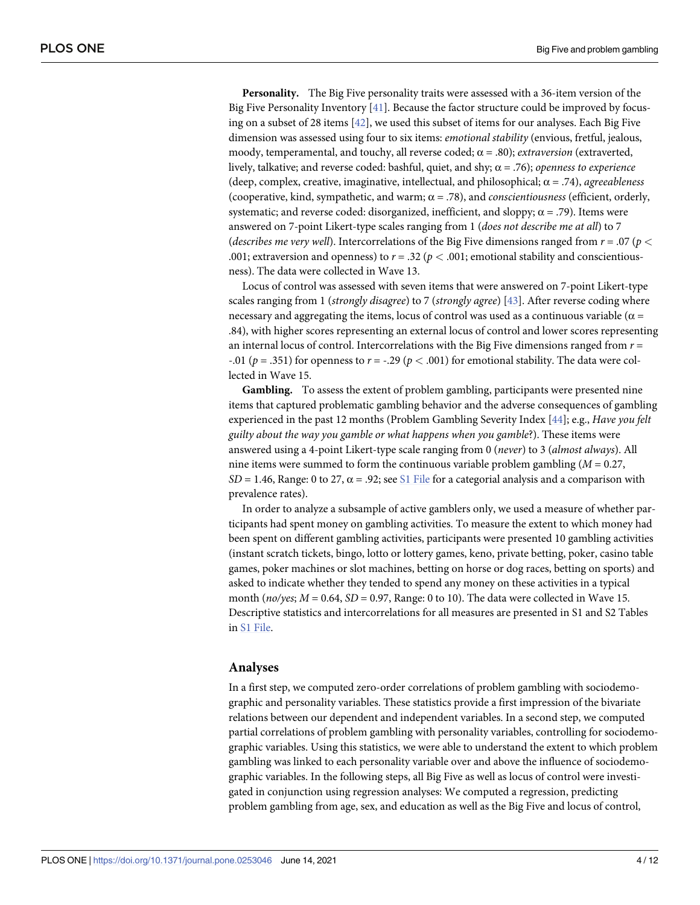<span id="page-3-0"></span>**Personality.** The Big Five personality traits were assessed with a 36-item version of the Big Five Personality Inventory [\[41\]](#page-10-0). Because the factor structure could be improved by focusing on a subset of 28 items [\[42\]](#page-10-0), we used this subset of items for our analyses. Each Big Five dimension was assessed using four to six items: *emotional stability* (envious, fretful, jealous, moody, temperamental, and touchy, all reverse coded;  $\alpha$  = .80); *extraversion* (extraverted, lively, talkative; and reverse coded: bashful, quiet, and shy; α = .76); *openness to experience* (deep, complex, creative, imaginative, intellectual, and philosophical; α = .74), *agreeableness* (cooperative, kind, sympathetic, and warm; α = .78), and *conscientiousness* (efficient, orderly, systematic; and reverse coded: disorganized, inefficient, and sloppy;  $\alpha = .79$ ). Items were answered on 7-point Likert-type scales ranging from 1 (*does not describe me at all*) to 7 (*describes me very well*). Intercorrelations of the Big Five dimensions ranged from *r* = .07 (*p <* .001; extraversion and openness) to  $r = .32$  ( $p < .001$ ; emotional stability and conscientiousness). The data were collected in Wave 13.

Locus of control was assessed with seven items that were answered on 7-point Likert-type scales ranging from 1 (*strongly disagree*) to 7 (*strongly agree*) [[43](#page-10-0)]. After reverse coding where necessary and aggregating the items, locus of control was used as a continuous variable ( $\alpha$ .84), with higher scores representing an external locus of control and lower scores representing an internal locus of control. Intercorrelations with the Big Five dimensions ranged from *r* = -.01 ( $p = .351$ ) for openness to  $r = -.29$  ( $p < .001$ ) for emotional stability. The data were collected in Wave 15.

**Gambling.** To assess the extent of problem gambling, participants were presented nine items that captured problematic gambling behavior and the adverse consequences of gambling experienced in the past 12 months (Problem Gambling Severity Index [[44](#page-10-0)]; e.g., *Have you felt guilty about the way you gamble or what happens when you gamble*?). These items were answered using a 4-point Likert-type scale ranging from 0 (*never*) to 3 (*almost always*). All nine items were summed to form the continuous variable problem gambling (*M* = 0.27,  $SD = 1.46$ , Range: 0 to 27,  $\alpha = .92$ ; see S1 [File](#page-8-0) for a categorial analysis and a comparison with prevalence rates).

In order to analyze a subsample of active gamblers only, we used a measure of whether participants had spent money on gambling activities. To measure the extent to which money had been spent on different gambling activities, participants were presented 10 gambling activities (instant scratch tickets, bingo, lotto or lottery games, keno, private betting, poker, casino table games, poker machines or slot machines, betting on horse or dog races, betting on sports) and asked to indicate whether they tended to spend any money on these activities in a typical month (*no/yes*; *M* = 0.64, *SD* = 0.97, Range: 0 to 10). The data were collected in Wave 15. Descriptive statistics and intercorrelations for all measures are presented in S1 and S2 Tables in S1 [File.](#page-8-0)

#### **Analyses**

In a first step, we computed zero-order correlations of problem gambling with sociodemographic and personality variables. These statistics provide a first impression of the bivariate relations between our dependent and independent variables. In a second step, we computed partial correlations of problem gambling with personality variables, controlling for sociodemographic variables. Using this statistics, we were able to understand the extent to which problem gambling was linked to each personality variable over and above the influence of sociodemographic variables. In the following steps, all Big Five as well as locus of control were investigated in conjunction using regression analyses: We computed a regression, predicting problem gambling from age, sex, and education as well as the Big Five and locus of control,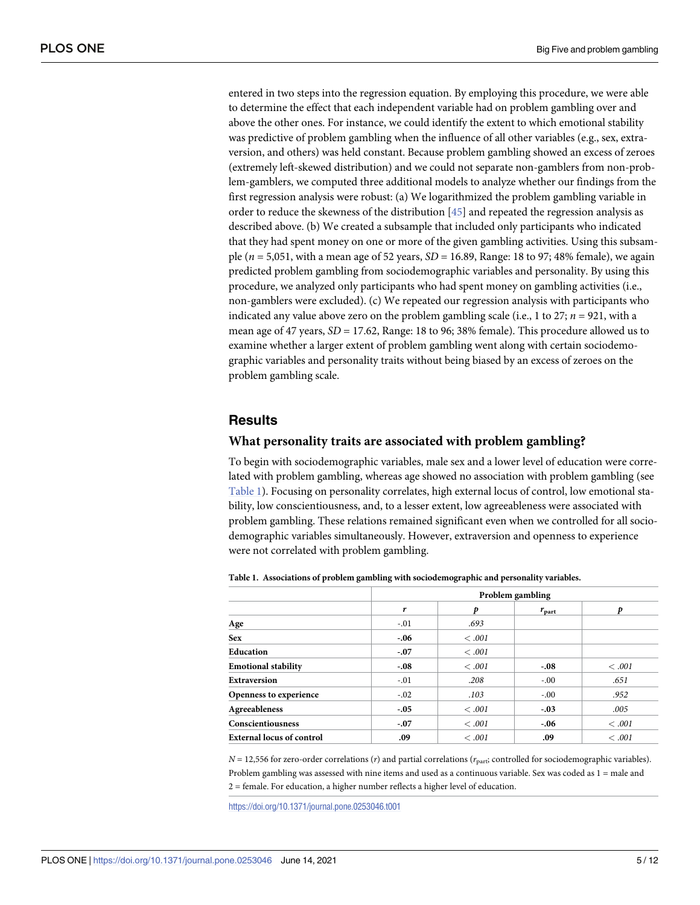<span id="page-4-0"></span>entered in two steps into the regression equation. By employing this procedure, we were able to determine the effect that each independent variable had on problem gambling over and above the other ones. For instance, we could identify the extent to which emotional stability was predictive of problem gambling when the influence of all other variables (e.g., sex, extraversion, and others) was held constant. Because problem gambling showed an excess of zeroes (extremely left-skewed distribution) and we could not separate non-gamblers from non-problem-gamblers, we computed three additional models to analyze whether our findings from the first regression analysis were robust: (a) We logarithmized the problem gambling variable in order to reduce the skewness of the distribution [\[45\]](#page-10-0) and repeated the regression analysis as described above. (b) We created a subsample that included only participants who indicated that they had spent money on one or more of the given gambling activities. Using this subsample (*n* = 5,051, with a mean age of 52 years, *SD* = 16.89, Range: 18 to 97; 48% female), we again predicted problem gambling from sociodemographic variables and personality. By using this procedure, we analyzed only participants who had spent money on gambling activities (i.e., non-gamblers were excluded). (c) We repeated our regression analysis with participants who indicated any value above zero on the problem gambling scale (i.e., 1 to  $27$ ;  $n = 921$ , with a mean age of 47 years, *SD* = 17.62, Range: 18 to 96; 38% female). This procedure allowed us to examine whether a larger extent of problem gambling went along with certain sociodemographic variables and personality traits without being biased by an excess of zeroes on the problem gambling scale.

# **Results**

#### **What personality traits are associated with problem gambling?**

To begin with sociodemographic variables, male sex and a lower level of education were correlated with problem gambling, whereas age showed no association with problem gambling (see Table 1). Focusing on personality correlates, high external locus of control, low emotional stability, low conscientiousness, and, to a lesser extent, low agreeableness were associated with problem gambling. These relations remained significant even when we controlled for all sociodemographic variables simultaneously. However, extraversion and openness to experience were not correlated with problem gambling.

|                                  |        | Problem gambling |                |        |  |  |  |
|----------------------------------|--------|------------------|----------------|--------|--|--|--|
|                                  | r      | p                | $r_{\rm part}$ | p      |  |  |  |
| Age                              | $-.01$ | .693             |                |        |  |  |  |
| <b>Sex</b>                       | $-.06$ | <.001            |                |        |  |  |  |
| <b>Education</b>                 | $-.07$ | <.001            |                |        |  |  |  |
| <b>Emotional stability</b>       | $-.08$ | <.001            | $-.08$         | <.001  |  |  |  |
| <b>Extraversion</b>              | $-.01$ | .208             | $-.00$         | .651   |  |  |  |
| <b>Openness to experience</b>    | $-.02$ | .103             | $-.00$         | .952   |  |  |  |
| <b>Agreeableness</b>             | $-.05$ | < .001           | $-.03$         | .005   |  |  |  |
| Conscientiousness                | $-.07$ | <.001            | $-.06$         | <.001  |  |  |  |
| <b>External locus of control</b> | .09    | <.001            | .09            | < .001 |  |  |  |

**Table 1. Associations of problem gambling with sociodemographic and personality variables.**

*N* = 12,556 for zero-order correlations (*r*) and partial correlations ( $r_{part}$ ; controlled for sociodemographic variables). Problem gambling was assessed with nine items and used as a continuous variable. Sex was coded as 1 = male and 2 = female. For education, a higher number reflects a higher level of education.

<https://doi.org/10.1371/journal.pone.0253046.t001>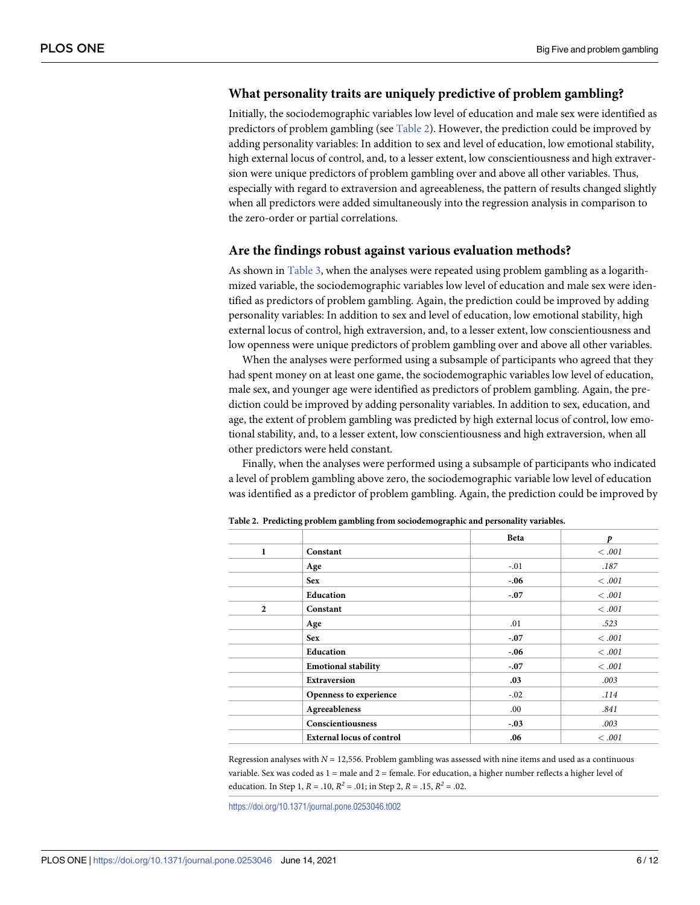# <span id="page-5-0"></span>**What personality traits are uniquely predictive of problem gambling?**

Initially, the sociodemographic variables low level of education and male sex were identified as predictors of problem gambling (see Table 2). However, the prediction could be improved by adding personality variables: In addition to sex and level of education, low emotional stability, high external locus of control, and, to a lesser extent, low conscientiousness and high extraversion were unique predictors of problem gambling over and above all other variables. Thus, especially with regard to extraversion and agreeableness, the pattern of results changed slightly when all predictors were added simultaneously into the regression analysis in comparison to the zero-order or partial correlations.

## **Are the findings robust against various evaluation methods?**

As shown in [Table](#page-6-0) 3, when the analyses were repeated using problem gambling as a logarithmized variable, the sociodemographic variables low level of education and male sex were identified as predictors of problem gambling. Again, the prediction could be improved by adding personality variables: In addition to sex and level of education, low emotional stability, high external locus of control, high extraversion, and, to a lesser extent, low conscientiousness and low openness were unique predictors of problem gambling over and above all other variables.

When the analyses were performed using a subsample of participants who agreed that they had spent money on at least one game, the sociodemographic variables low level of education, male sex, and younger age were identified as predictors of problem gambling. Again, the prediction could be improved by adding personality variables. In addition to sex, education, and age, the extent of problem gambling was predicted by high external locus of control, low emotional stability, and, to a lesser extent, low conscientiousness and high extraversion, when all other predictors were held constant.

Finally, when the analyses were performed using a subsample of participants who indicated a level of problem gambling above zero, the sociodemographic variable low level of education was identified as a predictor of problem gambling. Again, the prediction could be improved by

|                |                                  | <b>Beta</b> | p      |
|----------------|----------------------------------|-------------|--------|
| 1              | Constant                         |             | < .001 |
|                | Age                              | $-.01$      | .187   |
|                | <b>Sex</b>                       | $-.06$      | <.001  |
|                | Education                        | $-.07$      | <.001  |
| $\overline{2}$ | Constant                         |             | <.001  |
|                | Age                              | .01         | .523   |
|                | <b>Sex</b>                       | $-.07$      | <.001  |
|                | Education                        | $-.06$      | <.001  |
|                | <b>Emotional stability</b>       | $-.07$      | <.001  |
|                | <b>Extraversion</b>              | .03         | .003   |
|                | Openness to experience           | $-.02$      | .114   |
|                | Agreeableness                    | .00.        | .841   |
|                | Conscientiousness                | $-.03$      | .003   |
|                | <b>External locus of control</b> | .06         | <.001  |

**Table 2. Predicting problem gambling from sociodemographic and personality variables.**

Regression analyses with *N* = 12,556. Problem gambling was assessed with nine items and used as a continuous variable. Sex was coded as  $1 =$  male and  $2 =$  female. For education, a higher number reflects a higher level of education. In Step 1,  $R = .10$ ,  $R^2 = .01$ ; in Step 2,  $R = .15$ ,  $R^2 = .02$ .

<https://doi.org/10.1371/journal.pone.0253046.t002>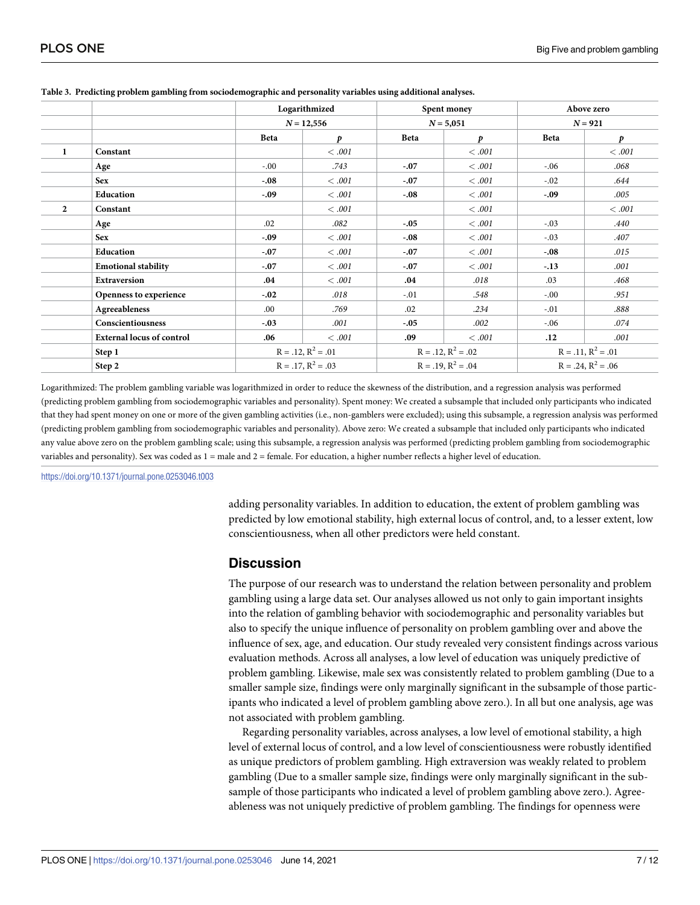|                |                                  | Logarithmized<br>$N = 12,556$                   |                  | Spent money<br>$N = 5,051$ |        | Above zero<br>$N = 921$ |       |
|----------------|----------------------------------|-------------------------------------------------|------------------|----------------------------|--------|-------------------------|-------|
|                |                                  |                                                 |                  |                            |        |                         |       |
|                |                                  | Beta                                            | $\boldsymbol{p}$ | <b>Beta</b>                | p      | Beta                    | p     |
| 1              | Constant                         |                                                 | < .001           |                            | < .001 |                         | <.001 |
|                | Age                              | $-0.0$                                          | .743             | $-.07$                     | < .001 | $-0.06$                 | .068  |
|                | <b>Sex</b>                       | $-.08$                                          | <.001            | $-.07$                     | < .001 | $-0.02$                 | .644  |
|                | Education                        | $-.09$                                          | <.001            | $-.08$                     | <.001  | $-.09$                  | .005  |
| $\overline{2}$ | Constant                         |                                                 | <.001            |                            | <.001  |                         | <.001 |
|                | Age                              | .02                                             | .082             | $-.05$                     | < .001 | $-.03$                  | .440  |
|                | <b>Sex</b>                       | $-.09$                                          | < .001           | $-.08$                     | < .001 | $-.03$                  | .407  |
|                | Education                        | $-.07$                                          | < .001           | $-.07$                     | < .001 | $-.08$                  | .015  |
|                | <b>Emotional stability</b>       | $-.07$                                          | < .001           | $-.07$                     | < .001 | $-.13$                  | .001  |
|                | Extraversion                     | .04                                             | <.001            | $.04\,$                    | .018   | .03                     | .468  |
|                | Openness to experience           | $-.02$                                          | .018             | $-.01$                     | .548   | $-0.00$                 | .951  |
|                | Agreeableness                    | .00.                                            | .769             | .02                        | .234   | $-.01$                  | .888  |
|                | Conscientiousness                | $-.03$                                          | .001             | $-.05$                     | .002   | $-.06$                  | .074  |
|                | <b>External locus of control</b> | .06                                             | <.001            | .09                        | <.001  | .12                     | .001  |
|                | Step 1                           | $R = .12, R^2 = .01$<br>$R = .17$ , $R^2 = .03$ |                  | $R = .12, R^2 = .02$       |        | $R = .11, R^2 = .01$    |       |
|                | Step 2                           |                                                 |                  | $R = .19$ , $R^2 = .04$    |        | $R = .24$ , $R^2 = .06$ |       |

#### <span id="page-6-0"></span>**[Table](#page-5-0) 3. Predicting problem gambling from sociodemographic and personality variables using additional analyses.**

Logarithmized: The problem gambling variable was logarithmized in order to reduce the skewness of the distribution, and a regression analysis was performed (predicting problem gambling from sociodemographic variables and personality). Spent money: We created a subsample that included only participants who indicated that they had spent money on one or more of the given gambling activities (i.e., non-gamblers were excluded); using this subsample, a regression analysis was performed (predicting problem gambling from sociodemographic variables and personality). Above zero: We created a subsample that included only participants who indicated any value above zero on the problem gambling scale; using this subsample, a regression analysis was performed (predicting problem gambling from sociodemographic variables and personality). Sex was coded as 1 = male and 2 = female. For education, a higher number reflects a higher level of education.

<https://doi.org/10.1371/journal.pone.0253046.t003>

adding personality variables. In addition to education, the extent of problem gambling was predicted by low emotional stability, high external locus of control, and, to a lesser extent, low conscientiousness, when all other predictors were held constant.

## **Discussion**

The purpose of our research was to understand the relation between personality and problem gambling using a large data set. Our analyses allowed us not only to gain important insights into the relation of gambling behavior with sociodemographic and personality variables but also to specify the unique influence of personality on problem gambling over and above the influence of sex, age, and education. Our study revealed very consistent findings across various evaluation methods. Across all analyses, a low level of education was uniquely predictive of problem gambling. Likewise, male sex was consistently related to problem gambling (Due to a smaller sample size, findings were only marginally significant in the subsample of those participants who indicated a level of problem gambling above zero.). In all but one analysis, age was not associated with problem gambling.

Regarding personality variables, across analyses, a low level of emotional stability, a high level of external locus of control, and a low level of conscientiousness were robustly identified as unique predictors of problem gambling. High extraversion was weakly related to problem gambling (Due to a smaller sample size, findings were only marginally significant in the subsample of those participants who indicated a level of problem gambling above zero.). Agreeableness was not uniquely predictive of problem gambling. The findings for openness were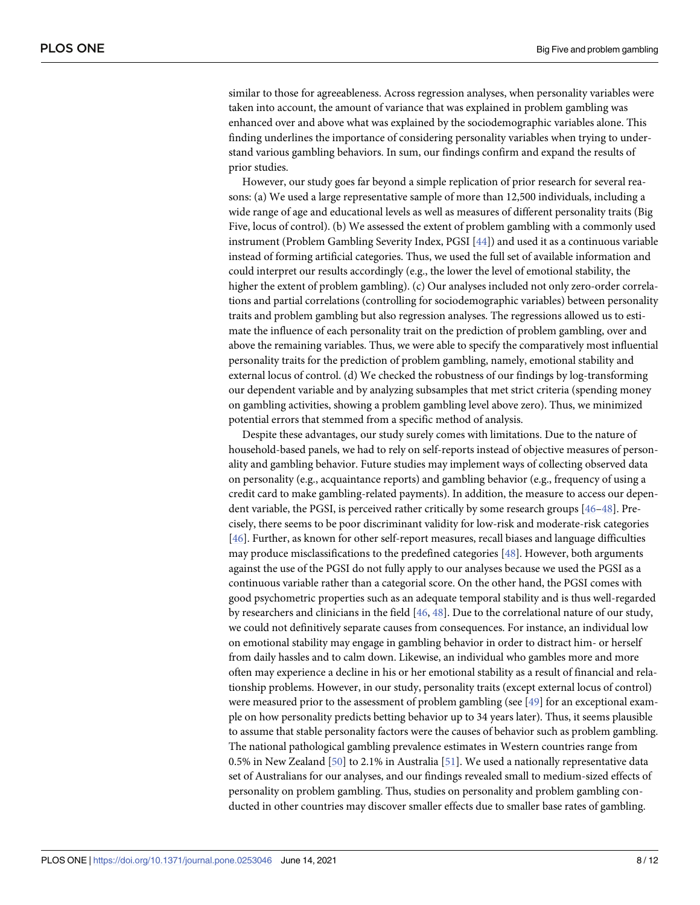<span id="page-7-0"></span>similar to those for agreeableness. Across regression analyses, when personality variables were taken into account, the amount of variance that was explained in problem gambling was enhanced over and above what was explained by the sociodemographic variables alone. This finding underlines the importance of considering personality variables when trying to understand various gambling behaviors. In sum, our findings confirm and expand the results of prior studies.

However, our study goes far beyond a simple replication of prior research for several reasons: (a) We used a large representative sample of more than 12,500 individuals, including a wide range of age and educational levels as well as measures of different personality traits (Big Five, locus of control). (b) We assessed the extent of problem gambling with a commonly used instrument (Problem Gambling Severity Index, PGSI [[44](#page-10-0)]) and used it as a continuous variable instead of forming artificial categories. Thus, we used the full set of available information and could interpret our results accordingly (e.g., the lower the level of emotional stability, the higher the extent of problem gambling). (c) Our analyses included not only zero-order correlations and partial correlations (controlling for sociodemographic variables) between personality traits and problem gambling but also regression analyses. The regressions allowed us to estimate the influence of each personality trait on the prediction of problem gambling, over and above the remaining variables. Thus, we were able to specify the comparatively most influential personality traits for the prediction of problem gambling, namely, emotional stability and external locus of control. (d) We checked the robustness of our findings by log-transforming our dependent variable and by analyzing subsamples that met strict criteria (spending money on gambling activities, showing a problem gambling level above zero). Thus, we minimized potential errors that stemmed from a specific method of analysis.

Despite these advantages, our study surely comes with limitations. Due to the nature of household-based panels, we had to rely on self-reports instead of objective measures of personality and gambling behavior. Future studies may implement ways of collecting observed data on personality (e.g., acquaintance reports) and gambling behavior (e.g., frequency of using a credit card to make gambling-related payments). In addition, the measure to access our dependent variable, the PGSI, is perceived rather critically by some research groups [[46](#page-10-0)–[48\]](#page-10-0). Precisely, there seems to be poor discriminant validity for low-risk and moderate-risk categories [\[46\]](#page-10-0). Further, as known for other self-report measures, recall biases and language difficulties may produce misclassifications to the predefined categories [[48](#page-10-0)]. However, both arguments against the use of the PGSI do not fully apply to our analyses because we used the PGSI as a continuous variable rather than a categorial score. On the other hand, the PGSI comes with good psychometric properties such as an adequate temporal stability and is thus well-regarded by researchers and clinicians in the field [\[46,](#page-10-0) [48\]](#page-10-0). Due to the correlational nature of our study, we could not definitively separate causes from consequences. For instance, an individual low on emotional stability may engage in gambling behavior in order to distract him- or herself from daily hassles and to calm down. Likewise, an individual who gambles more and more often may experience a decline in his or her emotional stability as a result of financial and relationship problems. However, in our study, personality traits (except external locus of control) were measured prior to the assessment of problem gambling (see [[49\]](#page-10-0) for an exceptional example on how personality predicts betting behavior up to 34 years later). Thus, it seems plausible to assume that stable personality factors were the causes of behavior such as problem gambling. The national pathological gambling prevalence estimates in Western countries range from 0.5% in New Zealand [\[50\]](#page-10-0) to 2.1% in Australia [\[51\]](#page-10-0). We used a nationally representative data set of Australians for our analyses, and our findings revealed small to medium-sized effects of personality on problem gambling. Thus, studies on personality and problem gambling conducted in other countries may discover smaller effects due to smaller base rates of gambling.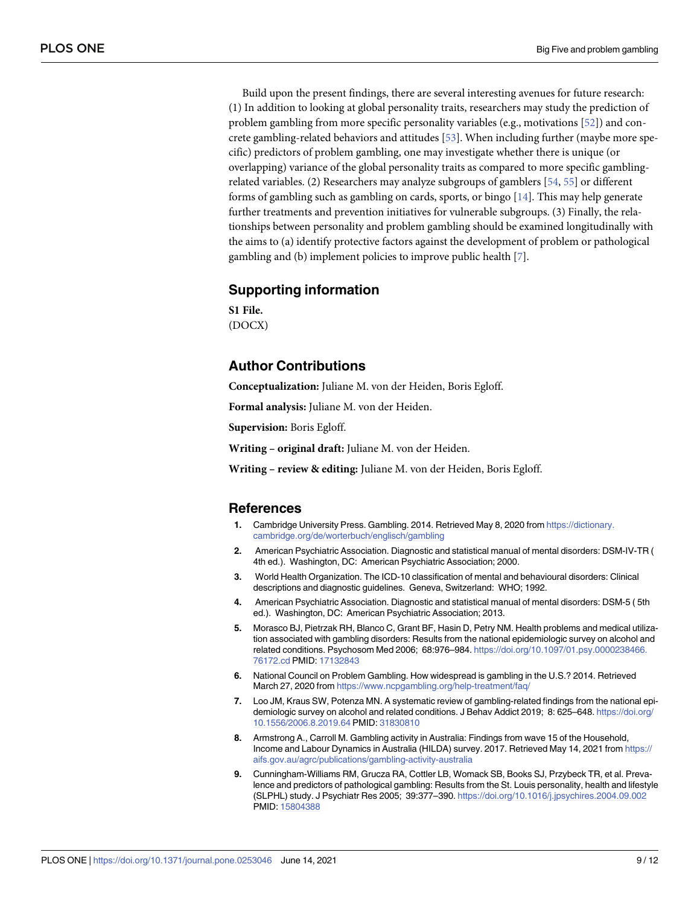<span id="page-8-0"></span>Build upon the present findings, there are several interesting avenues for future research: (1) In addition to looking at global personality traits, researchers may study the prediction of problem gambling from more specific personality variables (e.g., motivations [\[52\]](#page-10-0)) and concrete gambling-related behaviors and attitudes [[53](#page-10-0)]. When including further (maybe more specific) predictors of problem gambling, one may investigate whether there is unique (or overlapping) variance of the global personality traits as compared to more specific gamblingrelated variables. (2) Researchers may analyze subgroups of gamblers [[54](#page-11-0), [55](#page-11-0)] or different forms of gambling such as gambling on cards, sports, or bingo [[14](#page-9-0)]. This may help generate further treatments and prevention initiatives for vulnerable subgroups. (3) Finally, the relationships between personality and problem gambling should be examined longitudinally with the aims to (a) identify protective factors against the development of problem or pathological gambling and (b) implement policies to improve public health [7].

# **Supporting information**

**S1 [File.](http://www.plosone.org/article/fetchSingleRepresentation.action?uri=info:doi/10.1371/journal.pone.0253046.s001)** (DOCX)

# **Author Contributions**

**Conceptualization:** Juliane M. von der Heiden, Boris Egloff.

**Formal analysis:** Juliane M. von der Heiden.

**Supervision:** Boris Egloff.

**Writing – original draft:** Juliane M. von der Heiden.

**Writing – review & editing:** Juliane M. von der Heiden, Boris Egloff.

#### **References**

- **[1](#page-0-0).** Cambridge University Press. Gambling. 2014. Retrieved May 8, 2020 from [https://dictionary.](https://dictionary.cambridge.org/de/worterbuch/englisch/gambling) [cambridge.org/de/worterbuch/englisch/gambling](https://dictionary.cambridge.org/de/worterbuch/englisch/gambling)
- **[2](#page-0-0).** American Psychiatric Association. Diagnostic and statistical manual of mental disorders: DSM-IV-TR ( 4th ed.). Washington, DC: American Psychiatric Association; 2000.
- **[3](#page-0-0).** World Health Organization. The ICD-10 classification of mental and behavioural disorders: Clinical descriptions and diagnostic guidelines. Geneva, Switzerland: WHO; 1992.
- **[4](#page-0-0).** American Psychiatric Association. Diagnostic and statistical manual of mental disorders: DSM-5 ( 5th ed.). Washington, DC: American Psychiatric Association; 2013.
- **[5](#page-0-0).** Morasco BJ, Pietrzak RH, Blanco C, Grant BF, Hasin D, Petry NM. Health problems and medical utilization associated with gambling disorders: Results from the national epidemiologic survey on alcohol and related conditions. Psychosom Med 2006; 68:976–984. [https://doi.org/10.1097/01.psy.0000238466.](https://doi.org/10.1097/01.psy.0000238466.76172.cd) [76172.cd](https://doi.org/10.1097/01.psy.0000238466.76172.cd) PMID: [17132843](http://www.ncbi.nlm.nih.gov/pubmed/17132843)
- **[6](#page-0-0).** National Council on Problem Gambling. How widespread is gambling in the U.S.? 2014. Retrieved March 27, 2020 from <https://www.ncpgambling.org/help-treatment/faq/>
- **[7](#page-1-0).** Loo JM, Kraus SW, Potenza MN. A systematic review of gambling-related findings from the national epidemiologic survey on alcohol and related conditions. J Behav Addict 2019; 8: 625–648. [https://doi.org/](https://doi.org/10.1556/2006.8.2019.64) [10.1556/2006.8.2019.64](https://doi.org/10.1556/2006.8.2019.64) PMID: [31830810](http://www.ncbi.nlm.nih.gov/pubmed/31830810)
- **[8](#page-1-0).** Armstrong A., Carroll M. Gambling activity in Australia: Findings from wave 15 of the Household, Income and Labour Dynamics in Australia (HILDA) survey. 2017. Retrieved May 14, 2021 from [https://](https://aifs.gov.au/agrc/publications/gambling-activity-australia) [aifs.gov.au/agrc/publications/gambling-activity-australia](https://aifs.gov.au/agrc/publications/gambling-activity-australia)
- **[9](#page-1-0).** Cunningham-Williams RM, Grucza RA, Cottler LB, Womack SB, Books SJ, Przybeck TR, et al. Prevalence and predictors of pathological gambling: Results from the St. Louis personality, health and lifestyle (SLPHL) study. J Psychiatr Res 2005; 39:377–390. <https://doi.org/10.1016/j.jpsychires.2004.09.002> PMID: [15804388](http://www.ncbi.nlm.nih.gov/pubmed/15804388)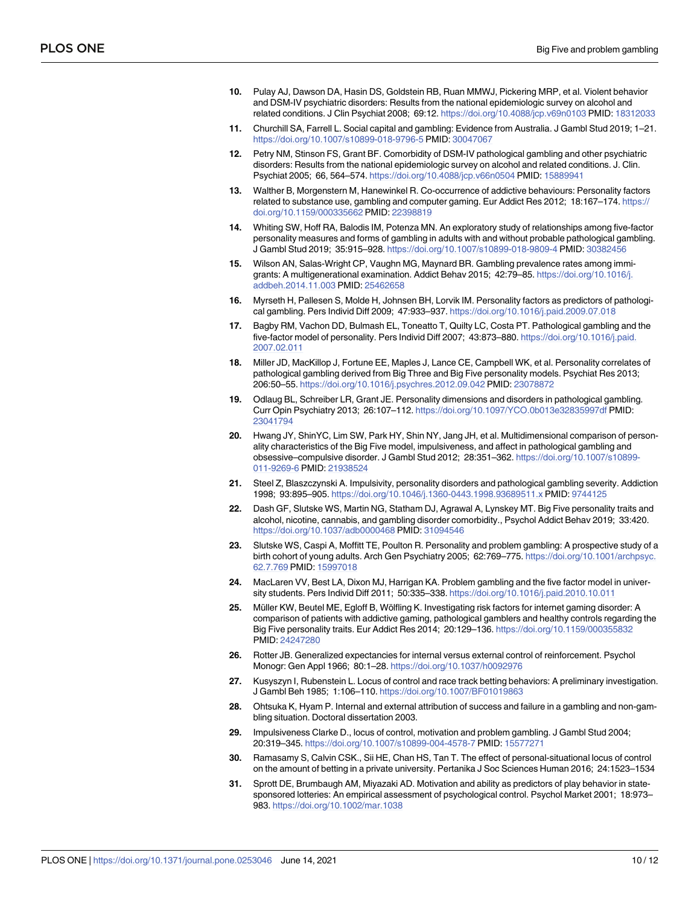- <span id="page-9-0"></span>**[10](#page-1-0).** Pulay AJ, Dawson DA, Hasin DS, Goldstein RB, Ruan MMWJ, Pickering MRP, et al. Violent behavior and DSM-IV psychiatric disorders: Results from the national epidemiologic survey on alcohol and related conditions. J Clin Psychiat 2008; 69:12. <https://doi.org/10.4088/jcp.v69n0103> PMID: [18312033](http://www.ncbi.nlm.nih.gov/pubmed/18312033)
- **[11](#page-1-0).** Churchill SA, Farrell L. Social capital and gambling: Evidence from Australia. J Gambl Stud 2019; 1–21. <https://doi.org/10.1007/s10899-018-9796-5> PMID: [30047067](http://www.ncbi.nlm.nih.gov/pubmed/30047067)
- **[12](#page-1-0).** Petry NM, Stinson FS, Grant BF. Comorbidity of DSM-IV pathological gambling and other psychiatric disorders: Results from the national epidemiologic survey on alcohol and related conditions. J. Clin. Psychiat 2005; 66, 564–574. <https://doi.org/10.4088/jcp.v66n0504> PMID: [15889941](http://www.ncbi.nlm.nih.gov/pubmed/15889941)
- **[13](#page-1-0).** Walther B, Morgenstern M, Hanewinkel R. Co-occurrence of addictive behaviours: Personality factors related to substance use, gambling and computer gaming. Eur Addict Res 2012; 18:167–174. [https://](https://doi.org/10.1159/000335662) [doi.org/10.1159/000335662](https://doi.org/10.1159/000335662) PMID: [22398819](http://www.ncbi.nlm.nih.gov/pubmed/22398819)
- **[14](#page-1-0).** Whiting SW, Hoff RA, Balodis IM, Potenza MN. An exploratory study of relationships among five-factor personality measures and forms of gambling in adults with and without probable pathological gambling. J Gambl Stud 2019; 35:915–928. <https://doi.org/10.1007/s10899-018-9809-4> PMID: [30382456](http://www.ncbi.nlm.nih.gov/pubmed/30382456)
- **[15](#page-1-0).** Wilson AN, Salas-Wright CP, Vaughn MG, Maynard BR. Gambling prevalence rates among immigrants: A multigenerational examination. Addict Behav 2015; 42:79–85. [https://doi.org/10.1016/j.](https://doi.org/10.1016/j.addbeh.2014.11.003) [addbeh.2014.11.003](https://doi.org/10.1016/j.addbeh.2014.11.003) PMID: [25462658](http://www.ncbi.nlm.nih.gov/pubmed/25462658)
- **[16](#page-1-0).** Myrseth H, Pallesen S, Molde H, Johnsen BH, Lorvik IM. Personality factors as predictors of pathological gambling. Pers Individ Diff 2009; 47:933–937. <https://doi.org/10.1016/j.paid.2009.07.018>
- **[17](#page-1-0).** Bagby RM, Vachon DD, Bulmash EL, Toneatto T, Quilty LC, Costa PT. Pathological gambling and the five-factor model of personality. Pers Individ Diff 2007; 43:873–880. [https://doi.org/10.1016/j.paid.](https://doi.org/10.1016/j.paid.2007.02.011) [2007.02.011](https://doi.org/10.1016/j.paid.2007.02.011)
- **[18](#page-1-0).** Miller JD, MacKillop J, Fortune EE, Maples J, Lance CE, Campbell WK, et al. Personality correlates of pathological gambling derived from Big Three and Big Five personality models. Psychiat Res 2013; 206:50–55. <https://doi.org/10.1016/j.psychres.2012.09.042> PMID: [23078872](http://www.ncbi.nlm.nih.gov/pubmed/23078872)
- **[19](#page-1-0).** Odlaug BL, Schreiber LR, Grant JE. Personality dimensions and disorders in pathological gambling. Curr Opin Psychiatry 2013; 26:107–112. <https://doi.org/10.1097/YCO.0b013e32835997df> PMID: [23041794](http://www.ncbi.nlm.nih.gov/pubmed/23041794)
- **[20](#page-1-0).** Hwang JY, ShinYC, Lim SW, Park HY, Shin NY, Jang JH, et al. Multidimensional comparison of personality characteristics of the Big Five model, impulsiveness, and affect in pathological gambling and obsessive–compulsive disorder. J Gambl Stud 2012; 28:351–362. [https://doi.org/10.1007/s10899-](https://doi.org/10.1007/s10899-011-9269-6) [011-9269-6](https://doi.org/10.1007/s10899-011-9269-6) PMID: [21938524](http://www.ncbi.nlm.nih.gov/pubmed/21938524)
- **[21](#page-1-0).** Steel Z, Blaszczynski A. Impulsivity, personality disorders and pathological gambling severity. Addiction 1998; 93:895–905. <https://doi.org/10.1046/j.1360-0443.1998.93689511.x> PMID: [9744125](http://www.ncbi.nlm.nih.gov/pubmed/9744125)
- **[22](#page-1-0).** Dash GF, Slutske WS, Martin NG, Statham DJ, Agrawal A, Lynskey MT. Big Five personality traits and alcohol, nicotine, cannabis, and gambling disorder comorbidity., Psychol Addict Behav 2019; 33:420. <https://doi.org/10.1037/adb0000468> PMID: [31094546](http://www.ncbi.nlm.nih.gov/pubmed/31094546)
- **[23](#page-1-0).** Slutske WS, Caspi A, Moffitt TE, Poulton R. Personality and problem gambling: A prospective study of a birth cohort of young adults. Arch Gen Psychiatry 2005; 62:769–775. [https://doi.org/10.1001/archpsyc.](https://doi.org/10.1001/archpsyc.62.7.769) [62.7.769](https://doi.org/10.1001/archpsyc.62.7.769) PMID: [15997018](http://www.ncbi.nlm.nih.gov/pubmed/15997018)
- **[24](#page-1-0).** MacLaren VV, Best LA, Dixon MJ, Harrigan KA. Problem gambling and the five factor model in university students. Pers Individ Diff 2011; 50:335–338. <https://doi.org/10.1016/j.paid.2010.10.011>
- **[25](#page-1-0).** Müller KW, Beutel ME, Egloff B, Wölfling K. Investigating risk factors for internet gaming disorder: A comparison of patients with addictive gaming, pathological gamblers and healthy controls regarding the Big Five personality traits. Eur Addict Res 2014; 20:129–136. <https://doi.org/10.1159/000355832> PMID: [24247280](http://www.ncbi.nlm.nih.gov/pubmed/24247280)
- **[26](#page-1-0).** Rotter JB. Generalized expectancies for internal versus external control of reinforcement. Psychol Monogr: Gen Appl 1966; 80:1–28. <https://doi.org/10.1037/h0092976>
- **[27](#page-1-0).** Kusyszyn I, Rubenstein L. Locus of control and race track betting behaviors: A preliminary investigation. J Gambl Beh 1985; 1:106–110. <https://doi.org/10.1007/BF01019863>
- **[28](#page-1-0).** Ohtsuka K, Hyam P. Internal and external attribution of success and failure in a gambling and non-gambling situation. Doctoral dissertation 2003.
- **[29](#page-1-0).** Impulsiveness Clarke D., locus of control, motivation and problem gambling. J Gambl Stud 2004; 20:319–345. <https://doi.org/10.1007/s10899-004-4578-7> PMID: [15577271](http://www.ncbi.nlm.nih.gov/pubmed/15577271)
- **30.** Ramasamy S, Calvin CSK., Sii HE, Chan HS, Tan T. The effect of personal-situational locus of control on the amount of betting in a private university. Pertanika J Soc Sciences Human 2016; 24:1523–1534
- **[31](#page-1-0).** Sprott DE, Brumbaugh AM, Miyazaki AD. Motivation and ability as predictors of play behavior in statesponsored lotteries: An empirical assessment of psychological control. Psychol Market 2001; 18:973– 983. <https://doi.org/10.1002/mar.1038>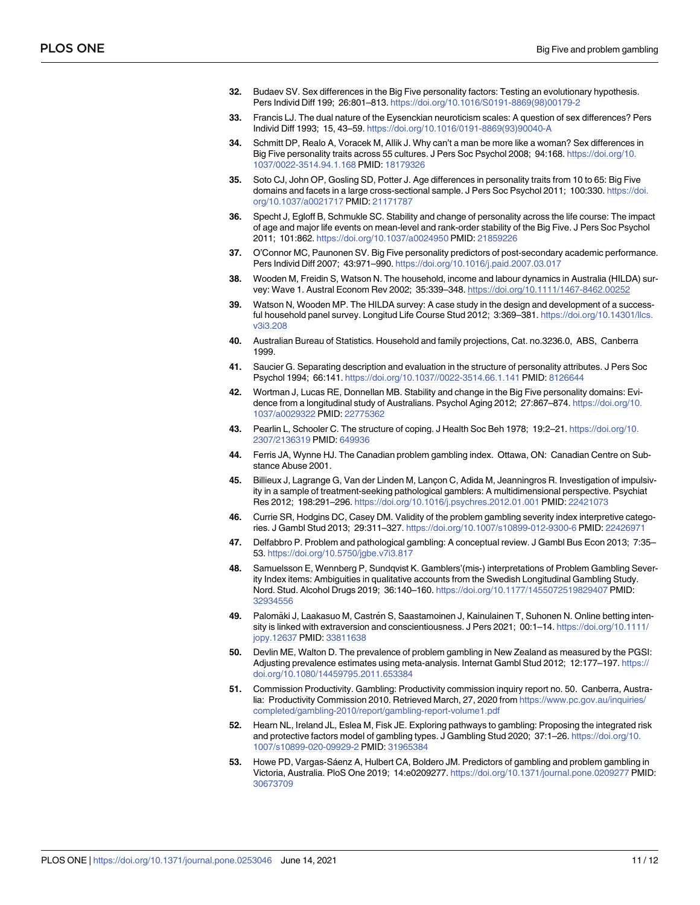- <span id="page-10-0"></span>**[32](#page-2-0).** Budaev SV. Sex differences in the Big Five personality factors: Testing an evolutionary hypothesis. Pers Individ Diff 199; 26:801–813. [https://doi.org/10.1016/S0191-8869\(98\)00179-2](https://doi.org/10.1016/S0191-8869%2898%2900179-2)
- **33.** Francis LJ. The dual nature of the Eysenckian neuroticism scales: A question of sex differences? Pers Individ Diff 1993; 15, 43–59. [https://doi.org/10.1016/0191-8869\(93\)90040-A](https://doi.org/10.1016/0191-8869%2893%2990040-A)
- **[34](#page-2-0).** Schmitt DP, Realo A, Voracek M, Allik J. Why can't a man be more like a woman? Sex differences in Big Five personality traits across 55 cultures. J Pers Soc Psychol 2008; 94:168. [https://doi.org/10.](https://doi.org/10.1037/0022-3514.94.1.168) [1037/0022-3514.94.1.168](https://doi.org/10.1037/0022-3514.94.1.168) PMID: [18179326](http://www.ncbi.nlm.nih.gov/pubmed/18179326)
- **[35](#page-2-0).** Soto CJ, John OP, Gosling SD, Potter J. Age differences in personality traits from 10 to 65: Big Five domains and facets in a large cross-sectional sample. J Pers Soc Psychol 2011; 100:330. [https://doi.](https://doi.org/10.1037/a0021717) [org/10.1037/a0021717](https://doi.org/10.1037/a0021717) PMID: [21171787](http://www.ncbi.nlm.nih.gov/pubmed/21171787)
- **[36](#page-2-0).** Specht J, Egloff B, Schmukle SC. Stability and change of personality across the life course: The impact of age and major life events on mean-level and rank-order stability of the Big Five. J Pers Soc Psychol 2011; 101:862. <https://doi.org/10.1037/a0024950> PMID: [21859226](http://www.ncbi.nlm.nih.gov/pubmed/21859226)
- **[37](#page-2-0).** O'Connor MC, Paunonen SV. Big Five personality predictors of post-secondary academic performance. Pers Individ Diff 2007; 43:971–990. <https://doi.org/10.1016/j.paid.2007.03.017>
- **[38](#page-2-0).** Wooden M, Freidin S, Watson N. The household, income and labour dynamics in Australia (HILDA) survey: Wave 1. Austral Econom Rev 2002; 35:339–348. <https://doi.org/10.1111/1467-8462.00252>
- **[39](#page-2-0).** Watson N, Wooden MP. The HILDA survey: A case study in the design and development of a successful household panel survey. Longitud Life Course Stud 2012; 3:369–381. [https://doi.org/10.14301/llcs.](https://doi.org/10.14301/llcs.v3i3.208) [v3i3.208](https://doi.org/10.14301/llcs.v3i3.208)
- **[40](#page-2-0).** Australian Bureau of Statistics. Household and family projections, Cat. no.3236.0, ABS, Canberra 1999.
- **[41](#page-3-0).** Saucier G. Separating description and evaluation in the structure of personality attributes. J Pers Soc Psychol 1994; 66:141. <https://doi.org/10.1037//0022-3514.66.1.141> PMID: [8126644](http://www.ncbi.nlm.nih.gov/pubmed/8126644)
- **[42](#page-3-0).** Wortman J, Lucas RE, Donnellan MB. Stability and change in the Big Five personality domains: Evidence from a longitudinal study of Australians. Psychol Aging 2012; 27:867–874. [https://doi.org/10.](https://doi.org/10.1037/a0029322) [1037/a0029322](https://doi.org/10.1037/a0029322) PMID: [22775362](http://www.ncbi.nlm.nih.gov/pubmed/22775362)
- **[43](#page-3-0).** Pearlin L, Schooler C. The structure of coping. J Health Soc Beh 1978; 19:2–21. [https://doi.org/10.](https://doi.org/10.2307/2136319) [2307/2136319](https://doi.org/10.2307/2136319) PMID: [649936](http://www.ncbi.nlm.nih.gov/pubmed/649936)
- **[44](#page-3-0).** Ferris JA, Wynne HJ. The Canadian problem gambling index. Ottawa, ON: Canadian Centre on Substance Abuse 2001.
- **[45](#page-4-0).** Billieux J, Lagrange G, Van der Linden M, Lancon C, Adida M, Jeanningros R. Investigation of impulsivity in a sample of treatment-seeking pathological gamblers: A multidimensional perspective. Psychiat Res 2012; 198:291–296. <https://doi.org/10.1016/j.psychres.2012.01.001> PMID: [22421073](http://www.ncbi.nlm.nih.gov/pubmed/22421073)
- **[46](#page-7-0).** Currie SR, Hodgins DC, Casey DM. Validity of the problem gambling severity index interpretive categories. J Gambl Stud 2013; 29:311–327. <https://doi.org/10.1007/s10899-012-9300-6> PMID: [22426971](http://www.ncbi.nlm.nih.gov/pubmed/22426971)
- **47.** Delfabbro P. Problem and pathological gambling: A conceptual review. J Gambl Bus Econ 2013; 7:35– 53. <https://doi.org/10.5750/jgbe.v7i3.817>
- **[48](#page-7-0).** Samuelsson E, Wennberg P, Sundqvist K. Gamblers'(mis-) interpretations of Problem Gambling Severity Index items: Ambiguities in qualitative accounts from the Swedish Longitudinal Gambling Study. Nord. Stud. Alcohol Drugs 2019; 36:140–160. <https://doi.org/10.1177/1455072519829407> PMID: [32934556](http://www.ncbi.nlm.nih.gov/pubmed/32934556)
- **[49](#page-7-0).** Palomäki J, Laakasuo M, Castrén S, Saastamoinen J, Kainulainen T, Suhonen N. Online betting intensity is linked with extraversion and conscientiousness. J Pers 2021; 00:1–14. [https://doi.org/10.1111/](https://doi.org/10.1111/jopy.12637) [jopy.12637](https://doi.org/10.1111/jopy.12637) PMID: [33811638](http://www.ncbi.nlm.nih.gov/pubmed/33811638)
- **[50](#page-7-0).** Devlin ME, Walton D. The prevalence of problem gambling in New Zealand as measured by the PGSI: Adjusting prevalence estimates using meta-analysis. Internat Gambl Stud 2012; 12:177–197. [https://](https://doi.org/10.1080/14459795.2011.653384) [doi.org/10.1080/14459795.2011.653384](https://doi.org/10.1080/14459795.2011.653384)
- **[51](#page-7-0).** Commission Productivity. Gambling: Productivity commission inquiry report no. 50. Canberra, Australia: Productivity Commission 2010. Retrieved March, 27, 2020 from [https://www.pc.gov.au/inquiries/](https://www.pc.gov.au/inquiries/completed/gambling-2010/report/gambling-report-volume1.pdf) [completed/gambling-2010/report/gambling-report-volume1.pdf](https://www.pc.gov.au/inquiries/completed/gambling-2010/report/gambling-report-volume1.pdf)
- **[52](#page-8-0).** Hearn NL, Ireland JL, Eslea M, Fisk JE. Exploring pathways to gambling: Proposing the integrated risk and protective factors model of gambling types. J Gambling Stud 2020; 37:1–26. [https://doi.org/10.](https://doi.org/10.1007/s10899-020-09929-2) [1007/s10899-020-09929-2](https://doi.org/10.1007/s10899-020-09929-2) PMID: [31965384](http://www.ncbi.nlm.nih.gov/pubmed/31965384)
- **[53](#page-8-0).** Howe PD, Vargas-Sáenz A, Hulbert CA, Boldero JM. Predictors of gambling and problem gambling in Victoria, Australia. PloS One 2019; 14:e0209277. <https://doi.org/10.1371/journal.pone.0209277> PMID: [30673709](http://www.ncbi.nlm.nih.gov/pubmed/30673709)